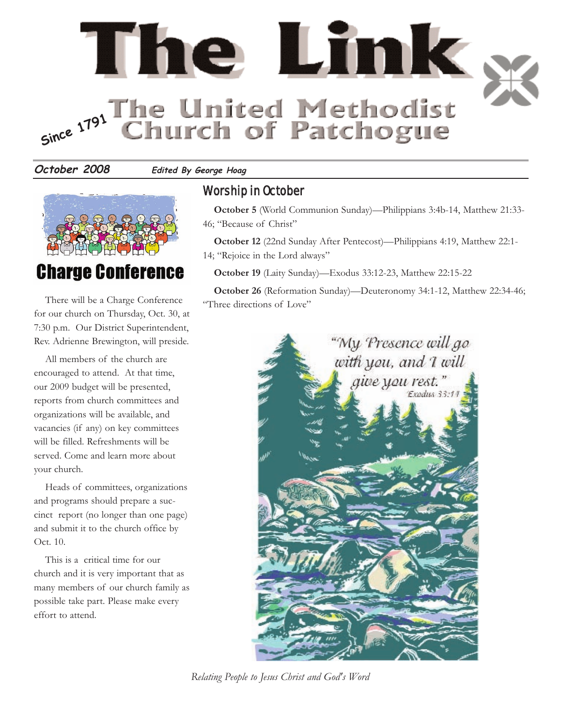

**October 2008 Edited By George Hoag**



# **Charge Conference**

There will be a Charge Conference "Three directions of Love" for our church on Thursday, Oct. 30, at 7:30 p.m. Our District Superintendent, Rev. Adrienne Brewington, will preside.

All members of the church are encouraged to attend. At that time, our 2009 budget will be presented, reports from church committees and organizations will be available, and vacancies (if any) on key committees will be filled. Refreshments will be served. Come and learn more about your church.

Heads of committees, organizations and programs should prepare a succinct report (no longer than one page) and submit it to the church office by Oct. 10.

This is a critical time for our church and it is very important that as many members of our church family as possible take part. Please make every effort to attend.

# Worship in October

**October 5** (World Communion Sunday)—Philippians 3:4b-14, Matthew 21:33- 46; "Because of Christ"

**October 12** (22nd Sunday After Pentecost)—Philippians 4:19, Matthew 22:1- 14; "Rejoice in the Lord always"

**October 19** (Laity Sunday)—Exodus 33:12-23, Matthew 22:15-22

**October 26** (Reformation Sunday)—Deuteronomy 34:1-12, Matthew 22:34-46;



*Relating People to Jesus Christ and God's Word*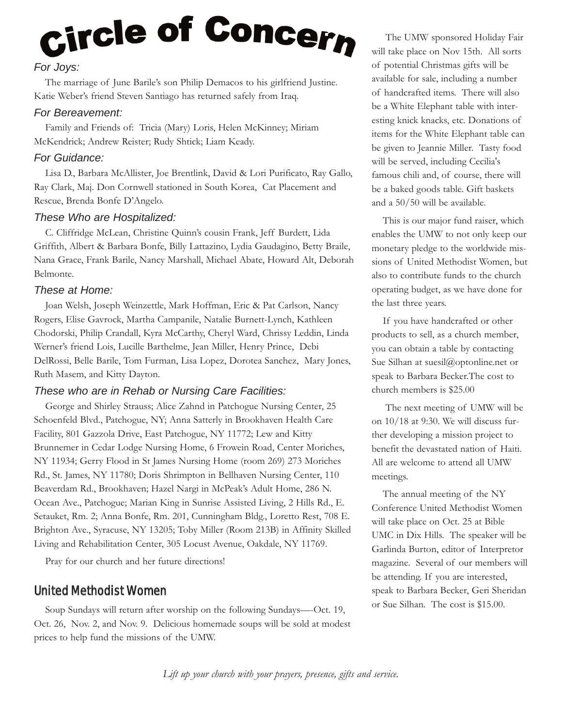# Circle of Concern

#### *For Joys:*

The marriage of June Barile's son Philip Demacos to his girlfriend Justine. Katie Weber's friend Steven Santiago has returned safely from Iraq.

#### *For Bereavement:*

Family and Friends of: Tricia (Mary) Loris, Helen McKinney; Miriam McKendrick; Andrew Reister; Rudy Shtick; Liam Keady.

#### *For Guidance:*

Lisa D., Barbara McAllister, Joe Brentlink, David & Lori Purificato, Ray Gallo, Ray Clark, Maj. Don Cornwell stationed in South Korea, Cat Placement and Rescue, Brenda Bonfe D'Angelo.

#### *These Who are Hospitalized:*

C. Cliffridge McLean, Christine Quinn's cousin Frank, Jeff Burdett, Lida Griffith, Albert & Barbara Bonfe, Billy Lattazino, Lydia Gaudagino, Betty Braile, Nana Grace, Frank Barile, Nancy Marshall, Michael Abate, Howard Alt, Deborah Belmonte.

#### *These at Home:*

Joan Welsh, Joseph Weinzettle, Mark Hoffman, Eric & Pat Carlson, Nancy Rogers, Elise Gavrock, Martha Campanile, Natalie Burnett-Lynch, Kathleen Chodorski, Philip Crandall, Kyra McCarthy, Cheryl Ward, Chrissy Leddin, Linda Werner's friend Lois, Lucille Barthelme, Jean Miller, Henry Prince, Debi DelRossi, Belle Barile, Tom Furman, Lisa Lopez, Dorotea Sanchez, Mary Jones, Ruth Masem, and Kitty Dayton.

#### *These who are in Rehab or Nursing Care Facilities:*

George and Shirley Strauss; Alice Zahnd in Patchogue Nursing Center, 25 Schoenfeld Blvd., Patchogue, NY; Anna Satterly in Brookhaven Health Care Facility, 801 Gazzola Drive, East Patchogue, NY 11772; Lew and Kitty Brunnemer in Cedar Lodge Nursing Home, 6 Frowein Road, Center Moriches, NY 11934; Gerry Flood in St James Nursing Home (room 269) 273 Moriches Rd., St. James, NY 11780; Doris Shrimpton in Bellhaven Nursing Center, 110 Beaverdam Rd., Brookhaven; Hazel Nargi in McPeak's Adult Home, 286 N. Ocean Ave., Patchogue; Marian King in Sunrise Assisted Living, 2 Hills Rd., E. Setauket, Rm. 2; Anna Bonfe, Rm. 201, Cunningham Bldg., Loretto Rest, 708 E. Brighton Ave., Syracuse, NY 13205; Toby Miller (Room 213B) in Affinity Skilled Living and Rehabilitation Center, 305 Locust Avenue, Oakdale, NY 11769.

Pray for our church and her future directions!

# United Methodist Women

Soup Sundays will return after worship on the following Sundays—-Oct. 19, Oct. 26, Nov. 2, and Nov. 9. Delicious homemade soups will be sold at modest prices to help fund the missions of the UMW.

The UMW sponsored Holiday Fair will take place on Nov 15th. All sorts of potential Christmas gifts will be available for sale, including a number of handcrafted items. There will also be a White Elephant table with interesting knick knacks, etc. Donations of items for the White Elephant table can be given to Jeannie Miller. Tasty food will be served, including Cecilia's famous chili and, of course, there will be a baked goods table. Gift baskets and a 50/50 will be available.

This is our major fund raiser, which enables the UMW to not only keep our monetary pledge to the worldwide missions of United Methodist Women, but also to contribute funds to the church operating budget, as we have done for the last three years.

If you have handcrafted or other products to sell, as a church member, you can obtain a table by contacting Sue Silhan at suesil@optonline.net or speak to Barbara Becker.The cost to church members is \$25.00

The next meeting of UMW will be on 10/18 at 9:30. We will discuss further developing a mission project to benefit the devastated nation of Haiti. All are welcome to attend all UMW meetings.

The annual meeting of the NY Conference United Methodist Women will take place on Oct. 25 at Bible UMC in Dix Hills. The speaker will be Garlinda Burton, editor of Interpretor magazine. Several of our members will be attending. If you are interested, speak to Barbara Becker, Geri Sheridan or Sue Silhan. The cost is \$15.00.

*Lift up your church with your prayers, presence, gifts and service.*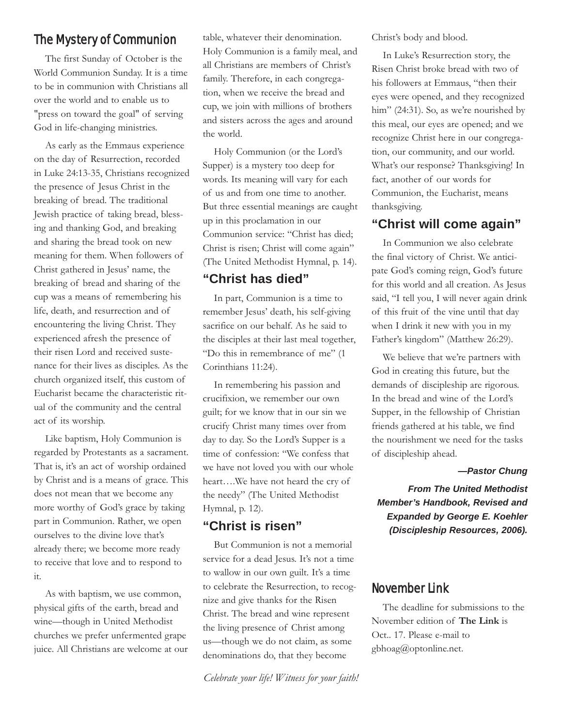# The Mystery of Communion

The first Sunday of October is the World Communion Sunday. It is a time to be in communion with Christians all over the world and to enable us to "press on toward the goal" of serving God in life-changing ministries.

As early as the Emmaus experience on the day of Resurrection, recorded in Luke 24:13-35, Christians recognized the presence of Jesus Christ in the breaking of bread. The traditional Jewish practice of taking bread, blessing and thanking God, and breaking and sharing the bread took on new meaning for them. When followers of Christ gathered in Jesus' name, the breaking of bread and sharing of the cup was a means of remembering his life, death, and resurrection and of encountering the living Christ. They experienced afresh the presence of their risen Lord and received sustenance for their lives as disciples. As the church organized itself, this custom of Eucharist became the characteristic ritual of the community and the central act of its worship.

Like baptism, Holy Communion is regarded by Protestants as a sacrament. That is, it's an act of worship ordained by Christ and is a means of grace. This does not mean that we become any more worthy of God's grace by taking part in Communion. Rather, we open ourselves to the divine love that's already there; we become more ready to receive that love and to respond to it.

As with baptism, we use common, physical gifts of the earth, bread and wine—though in United Methodist churches we prefer unfermented grape juice. All Christians are welcome at our table, whatever their denomination. Holy Communion is a family meal, and all Christians are members of Christ's family. Therefore, in each congregation, when we receive the bread and cup, we join with millions of brothers and sisters across the ages and around the world.

Holy Communion (or the Lord's Supper) is a mystery too deep for words. Its meaning will vary for each of us and from one time to another. But three essential meanings are caught up in this proclamation in our Communion service: "Christ has died; Christ is risen; Christ will come again" (The United Methodist Hymnal, p. 14).

## **"Christ has died"**

In part, Communion is a time to remember Jesus' death, his self-giving sacrifice on our behalf. As he said to the disciples at their last meal together, "Do this in remembrance of me" (1 Corinthians 11:24).

In remembering his passion and crucifixion, we remember our own guilt; for we know that in our sin we crucify Christ many times over from day to day. So the Lord's Supper is a time of confession: "We confess that we have not loved you with our whole heart….We have not heard the cry of the needy" (The United Methodist Hymnal, p. 12).

#### **"Christ is risen"**

But Communion is not a memorial service for a dead Jesus. It's not a time to wallow in our own guilt. It's a time to celebrate the Resurrection, to recognize and give thanks for the Risen Christ. The bread and wine represent the living presence of Christ among us—though we do not claim, as some denominations do, that they become

*Celebrate your life! Witness for your faith!*

Christ's body and blood.

In Luke's Resurrection story, the Risen Christ broke bread with two of his followers at Emmaus, "then their eyes were opened, and they recognized him" (24:31). So, as we're nourished by this meal, our eyes are opened; and we recognize Christ here in our congregation, our community, and our world. What's our response? Thanksgiving! In fact, another of our words for Communion, the Eucharist, means thanksgiving.

## **"Christ will come again"**

In Communion we also celebrate the final victory of Christ. We anticipate God's coming reign, God's future for this world and all creation. As Jesus said, "I tell you, I will never again drink of this fruit of the vine until that day when I drink it new with you in my Father's kingdom" (Matthew 26:29).

We believe that we're partners with God in creating this future, but the demands of discipleship are rigorous. In the bread and wine of the Lord's Supper, in the fellowship of Christian friends gathered at his table, we find the nourishment we need for the tasks of discipleship ahead.

#### *—Pastor Chung*

*From The United Methodist Member's Handbook, Revised and Expanded by George E. Koehler (Discipleship Resources, 2006).*

#### November Link

The deadline for submissions to the November edition of **The Link** is Oct.. 17. Please e-mail to gbhoag@optonline.net.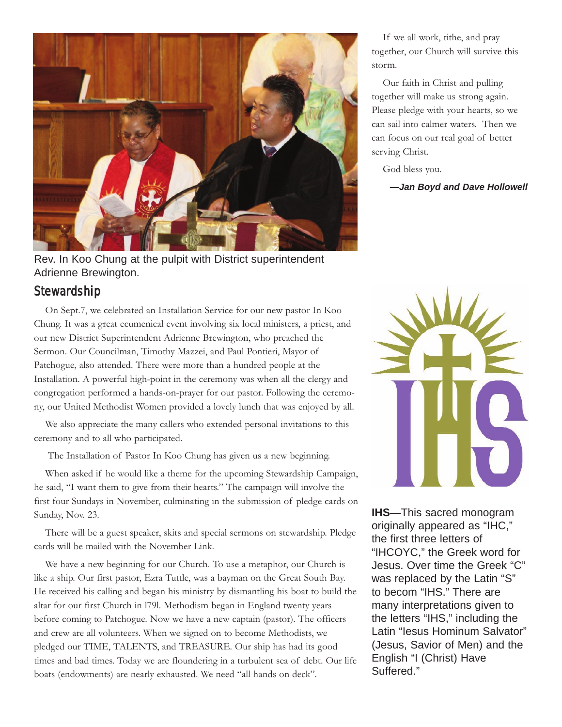

Rev. In Koo Chung at the pulpit with District superintendent Adrienne Brewington.

# Stewardship

On Sept.7, we celebrated an Installation Service for our new pastor In Koo Chung. It was a great ecumenical event involving six local ministers, a priest, and our new District Superintendent Adrienne Brewington, who preached the Sermon. Our Councilman, Timothy Mazzei, and Paul Pontieri, Mayor of Patchogue, also attended. There were more than a hundred people at the Installation. A powerful high-point in the ceremony was when all the clergy and congregation performed a hands-on-prayer for our pastor. Following the ceremony, our United Methodist Women provided a lovely lunch that was enjoyed by all.

We also appreciate the many callers who extended personal invitations to this ceremony and to all who participated.

The Installation of Pastor In Koo Chung has given us a new beginning.

When asked if he would like a theme for the upcoming Stewardship Campaign, he said, "I want them to give from their hearts." The campaign will involve the first four Sundays in November, culminating in the submission of pledge cards on Sunday, Nov. 23.

There will be a guest speaker, skits and special sermons on stewardship. Pledge cards will be mailed with the November Link.

We have a new beginning for our Church. To use a metaphor, our Church is like a ship. Our first pastor, Ezra Tuttle, was a bayman on the Great South Bay. He received his calling and began his ministry by dismantling his boat to build the altar for our first Church in l79l. Methodism began in England twenty years before coming to Patchogue. Now we have a new captain (pastor). The officers and crew are all volunteers. When we signed on to become Methodists, we pledged our TIME, TALENTS, and TREASURE. Our ship has had its good times and bad times. Today we are floundering in a turbulent sea of debt. Our life boats (endowments) are nearly exhausted. We need "all hands on deck".

If we all work, tithe, and pray together, our Church will survive this storm.

Our faith in Christ and pulling together will make us strong again. Please pledge with your hearts, so we can sail into calmer waters. Then we can focus on our real goal of better serving Christ.

God bless you.

*—Jan Boyd and Dave Hollowell*



**IHS**—This sacred monogram originally appeared as "IHC," the first three letters of "IHCOYC," the Greek word for Jesus. Over time the Greek "C" was replaced by the Latin "S" to becom "IHS." There are many interpretations given to the letters "IHS," including the Latin "Iesus Hominum Salvator" (Jesus, Savior of Men) and the English "I (Christ) Have Suffered."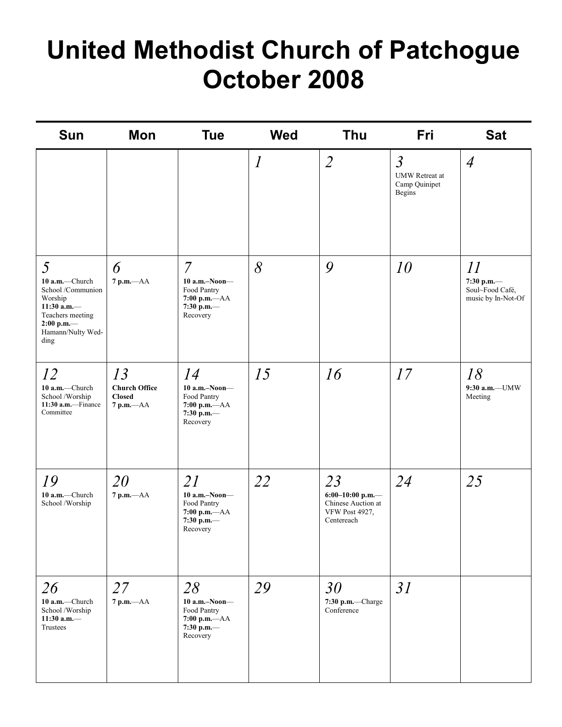# **United Methodist Church of Patchogue October 2008**

| <b>Sun</b>                                                                                                                             | Mon                                                         | <b>Tue</b>                                                                                      | <b>Wed</b>       | Thu                                                                                 | Fri                                                                | <b>Sat</b>                                                |
|----------------------------------------------------------------------------------------------------------------------------------------|-------------------------------------------------------------|-------------------------------------------------------------------------------------------------|------------------|-------------------------------------------------------------------------------------|--------------------------------------------------------------------|-----------------------------------------------------------|
|                                                                                                                                        |                                                             |                                                                                                 | $\boldsymbol{l}$ | $\overline{2}$                                                                      | $\mathfrak{Z}$<br><b>UMW</b> Retreat at<br>Camp Quinipet<br>Begins | $\overline{4}$                                            |
| 5<br>10 a.m.-Church<br>School /Communion<br>Worship<br>11:30 a.m. $-$<br>Teachers meeting<br>$2:00$ p.m.-<br>Hamann/Nulty Wed-<br>ding | 6<br>$7$ p.m.— $AA$                                         | $\overline{7}$<br>$10$ a.m.–Noon–<br>Food Pantry<br>$7:00$ p.m.- $AA$<br>7:30 p.m.—<br>Recovery | 8                | 9                                                                                   | 10                                                                 | 11<br>7:30 p.m.-<br>Soul~Food Café,<br>music by In-Not-Of |
| 12<br>10 a.m.-Church<br>School /Worship<br>11:30 a.m.-Finance<br>Committee                                                             | 13<br><b>Church Office</b><br><b>Closed</b><br>$7 p.m. -AA$ | 14<br>10 a.m.-Noon-<br>Food Pantry<br>$7:00$ p.m.- $AA$<br>7:30 p.m.-<br>Recovery               | 15               | 16                                                                                  | 17                                                                 | 18<br>9:30 a.m.-UMW<br>Meeting                            |
| 19<br>10 a.m.-Church<br>School /Worship                                                                                                | 20<br>$7 p.m. -AA$                                          | 21<br>$10$ a.m.-Noon-<br>Food Pantry<br>$7:00$ p.m.- $AA$<br>$7:30$ p.m.—<br>Recovery           | 22               | 23<br>6:00-10:00 p.m.-<br>Chinese Auction at<br><b>VFW Post 4927,</b><br>Centereach | 24                                                                 | 25                                                        |
| 26<br>10 a.m.-Church<br>School /Worship<br>11:30 a.m. $-$<br>Trustees                                                                  | 27<br>$7$ p.m.— $AA$                                        | 28<br>$10$ a.m.-Noon-<br>Food Pantry<br>$7:00$ p.m. $-AA$<br>7:30 p.m. $-$<br>Recovery          | 29               | 30<br>7:30 p.m.-Charge<br>Conference                                                | 31                                                                 |                                                           |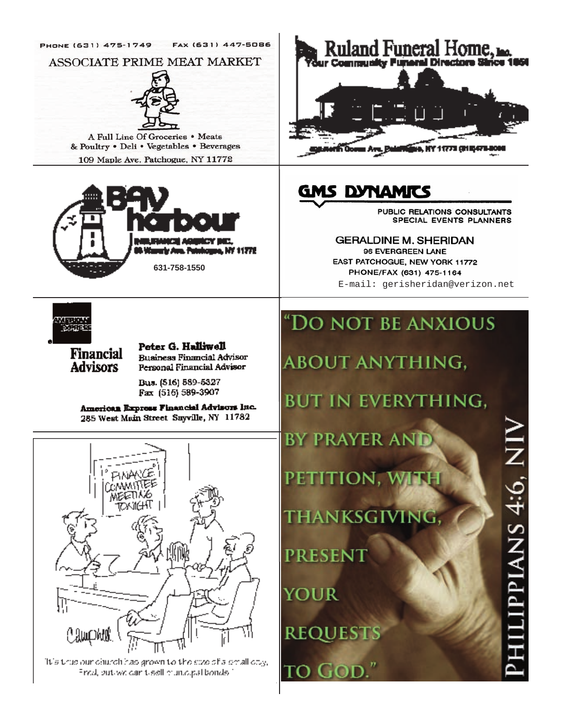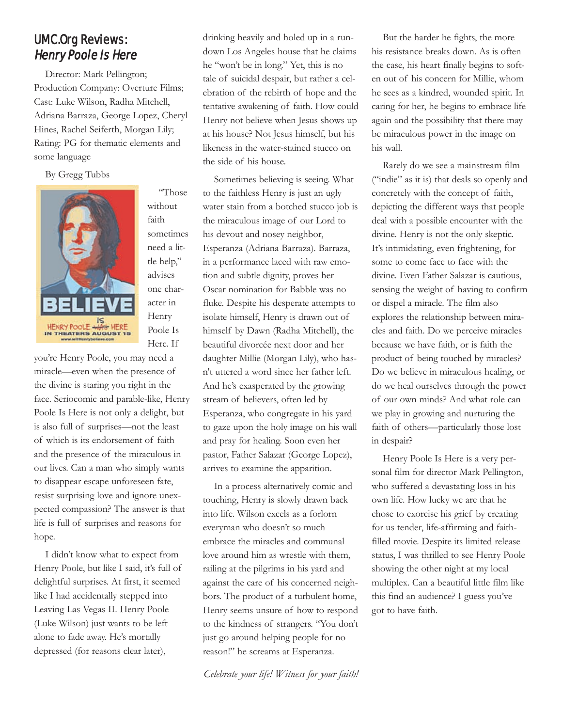# UMC.Org Reviews: Henry Poole Is Here

Director: Mark Pellington; Production Company: Overture Films; Cast: Luke Wilson, Radha Mitchell, Adriana Barraza, George Lopez, Cheryl Hines, Rachel Seiferth, Morgan Lily; Rating: PG for thematic elements and some language

By Gregg Tubbs



"Those without faith sometimes need a little help," advises one character in Henry Poole Is Here. If

you're Henry Poole, you may need a miracle—even when the presence of the divine is staring you right in the face. Seriocomic and parable-like, Henry Poole Is Here is not only a delight, but is also full of surprises—not the least of which is its endorsement of faith and the presence of the miraculous in our lives. Can a man who simply wants to disappear escape unforeseen fate, resist surprising love and ignore unexpected compassion? The answer is that life is full of surprises and reasons for hope.

I didn't know what to expect from Henry Poole, but like I said, it's full of delightful surprises. At first, it seemed like I had accidentally stepped into Leaving Las Vegas II. Henry Poole (Luke Wilson) just wants to be left alone to fade away. He's mortally depressed (for reasons clear later),

drinking heavily and holed up in a rundown Los Angeles house that he claims he "won't be in long." Yet, this is no tale of suicidal despair, but rather a celebration of the rebirth of hope and the tentative awakening of faith. How could Henry not believe when Jesus shows up at his house? Not Jesus himself, but his likeness in the water-stained stucco on the side of his house.

Sometimes believing is seeing. What to the faithless Henry is just an ugly water stain from a botched stucco job is the miraculous image of our Lord to his devout and nosey neighbor, Esperanza (Adriana Barraza). Barraza, in a performance laced with raw emotion and subtle dignity, proves her Oscar nomination for Babble was no fluke. Despite his desperate attempts to isolate himself, Henry is drawn out of himself by Dawn (Radha Mitchell), the beautiful divorcée next door and her daughter Millie (Morgan Lily), who hasn't uttered a word since her father left. And he's exasperated by the growing stream of believers, often led by Esperanza, who congregate in his yard to gaze upon the holy image on his wall and pray for healing. Soon even her pastor, Father Salazar (George Lopez), arrives to examine the apparition.

In a process alternatively comic and touching, Henry is slowly drawn back into life. Wilson excels as a forlorn everyman who doesn't so much embrace the miracles and communal love around him as wrestle with them, railing at the pilgrims in his yard and against the care of his concerned neighbors. The product of a turbulent home, Henry seems unsure of how to respond to the kindness of strangers. "You don't just go around helping people for no reason!" he screams at Esperanza.

*Celebrate your life! Witness for your faith!*

But the harder he fights, the more his resistance breaks down. As is often the case, his heart finally begins to soften out of his concern for Millie, whom he sees as a kindred, wounded spirit. In caring for her, he begins to embrace life again and the possibility that there may be miraculous power in the image on his wall.

Rarely do we see a mainstream film ("indie" as it is) that deals so openly and concretely with the concept of faith, depicting the different ways that people deal with a possible encounter with the divine. Henry is not the only skeptic. It's intimidating, even frightening, for some to come face to face with the divine. Even Father Salazar is cautious, sensing the weight of having to confirm or dispel a miracle. The film also explores the relationship between miracles and faith. Do we perceive miracles because we have faith, or is faith the product of being touched by miracles? Do we believe in miraculous healing, or do we heal ourselves through the power of our own minds? And what role can we play in growing and nurturing the faith of others—particularly those lost in despair?

Henry Poole Is Here is a very personal film for director Mark Pellington, who suffered a devastating loss in his own life. How lucky we are that he chose to exorcise his grief by creating for us tender, life-affirming and faithfilled movie. Despite its limited release status, I was thrilled to see Henry Poole showing the other night at my local multiplex. Can a beautiful little film like this find an audience? I guess you've got to have faith.